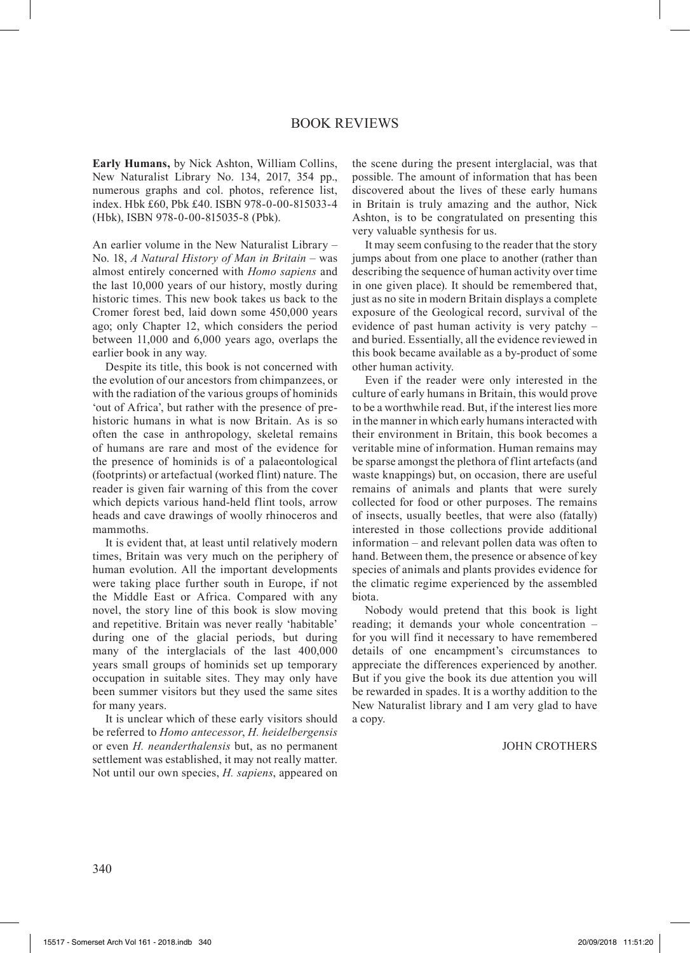**Early Humans,** by Nick Ashton, William Collins, New Naturalist Library No. 134, 2017, 354 pp., numerous graphs and col. photos, reference list, index. Hbk £60, Pbk £40. ISBN 978-0-00-815033-4 (Hbk), ISBN 978-0-00-815035-8 (Pbk).

An earlier volume in the New Naturalist Library – No. 18, *A Natural History of Man in Britain* – was almost entirely concerned with *Homo sapiens* and the last 10,000 years of our history, mostly during historic times. This new book takes us back to the Cromer forest bed, laid down some 450,000 years ago; only Chapter 12, which considers the period between 11,000 and 6,000 years ago, overlaps the earlier book in any way.

Despite its title, this book is not concerned with the evolution of our ancestors from chimpanzees, or with the radiation of the various groups of hominids 'out of Africa', but rather with the presence of prehistoric humans in what is now Britain. As is so often the case in anthropology, skeletal remains of humans are rare and most of the evidence for the presence of hominids is of a palaeontological (footprints) or artefactual (worked flint) nature. The reader is given fair warning of this from the cover which depicts various hand-held flint tools, arrow heads and cave drawings of woolly rhinoceros and mammoths.

It is evident that, at least until relatively modern times, Britain was very much on the periphery of human evolution. All the important developments were taking place further south in Europe, if not the Middle East or Africa. Compared with any novel, the story line of this book is slow moving and repetitive. Britain was never really 'habitable' during one of the glacial periods, but during many of the interglacials of the last 400,000 years small groups of hominids set up temporary occupation in suitable sites. They may only have been summer visitors but they used the same sites for many years.

It is unclear which of these early visitors should be referred to *Homo antecessor*, *H. heidelbergensis* or even *H. neanderthalensis* but, as no permanent settlement was established, it may not really matter. Not until our own species, *H. sapiens*, appeared on the scene during the present interglacial, was that possible. The amount of information that has been discovered about the lives of these early humans in Britain is truly amazing and the author, Nick Ashton, is to be congratulated on presenting this very valuable synthesis for us.

It may seem confusing to the reader that the story jumps about from one place to another (rather than describing the sequence of human activity over time in one given place). It should be remembered that, just as no site in modern Britain displays a complete exposure of the Geological record, survival of the evidence of past human activity is very patchy – and buried. Essentially, all the evidence reviewed in this book became available as a by-product of some other human activity.

Even if the reader were only interested in the culture of early humans in Britain, this would prove to be a worthwhile read. But, if the interest lies more in the manner in which early humans interacted with their environment in Britain, this book becomes a veritable mine of information. Human remains may be sparse amongst the plethora of flint artefacts (and waste knappings) but, on occasion, there are useful remains of animals and plants that were surely collected for food or other purposes. The remains of insects, usually beetles, that were also (fatally) interested in those collections provide additional information – and relevant pollen data was often to hand. Between them, the presence or absence of key species of animals and plants provides evidence for the climatic regime experienced by the assembled biota.

Nobody would pretend that this book is light reading; it demands your whole concentration – for you will find it necessary to have remembered details of one encampment's circumstances to appreciate the differences experienced by another. But if you give the book its due attention you will be rewarded in spades. It is a worthy addition to the New Naturalist library and I am very glad to have a copy.

# JOHN CROTHERS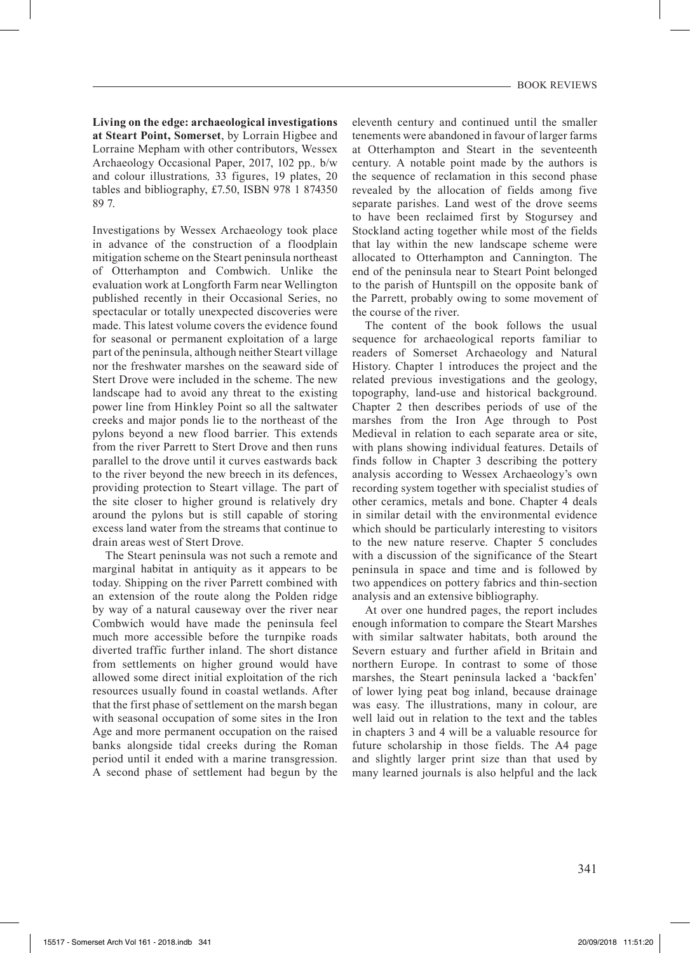**Living on the edge: archaeological investigations at Steart Point, Somerset**, by Lorrain Higbee and Lorraine Mepham with other contributors, Wessex Archaeology Occasional Paper, 2017, 102 pp*.,* b/w and colour illustrations*,* 33 figures, 19 plates, 20 tables and bibliography, £7.50, ISBN 978 1 874350 89 7.

Investigations by Wessex Archaeology took place in advance of the construction of a floodplain mitigation scheme on the Steart peninsula northeast of Otterhampton and Combwich. Unlike the evaluation work at Longforth Farm near Wellington published recently in their Occasional Series, no spectacular or totally unexpected discoveries were made. This latest volume covers the evidence found for seasonal or permanent exploitation of a large part of the peninsula, although neither Steart village nor the freshwater marshes on the seaward side of Stert Drove were included in the scheme. The new landscape had to avoid any threat to the existing power line from Hinkley Point so all the saltwater creeks and major ponds lie to the northeast of the pylons beyond a new flood barrier. This extends from the river Parrett to Stert Drove and then runs parallel to the drove until it curves eastwards back to the river beyond the new breech in its defences, providing protection to Steart village. The part of the site closer to higher ground is relatively dry around the pylons but is still capable of storing excess land water from the streams that continue to drain areas west of Stert Drove.

The Steart peninsula was not such a remote and marginal habitat in antiquity as it appears to be today. Shipping on the river Parrett combined with an extension of the route along the Polden ridge by way of a natural causeway over the river near Combwich would have made the peninsula feel much more accessible before the turnpike roads diverted traffic further inland. The short distance from settlements on higher ground would have allowed some direct initial exploitation of the rich resources usually found in coastal wetlands. After that the first phase of settlement on the marsh began with seasonal occupation of some sites in the Iron Age and more permanent occupation on the raised banks alongside tidal creeks during the Roman period until it ended with a marine transgression. A second phase of settlement had begun by the

eleventh century and continued until the smaller tenements were abandoned in favour of larger farms at Otterhampton and Steart in the seventeenth century. A notable point made by the authors is the sequence of reclamation in this second phase revealed by the allocation of fields among five separate parishes. Land west of the drove seems to have been reclaimed first by Stogursey and Stockland acting together while most of the fields that lay within the new landscape scheme were allocated to Otterhampton and Cannington. The end of the peninsula near to Steart Point belonged to the parish of Huntspill on the opposite bank of the Parrett, probably owing to some movement of the course of the river.

The content of the book follows the usual sequence for archaeological reports familiar to readers of Somerset Archaeology and Natural History. Chapter 1 introduces the project and the related previous investigations and the geology, topography, land-use and historical background. Chapter 2 then describes periods of use of the marshes from the Iron Age through to Post Medieval in relation to each separate area or site, with plans showing individual features. Details of finds follow in Chapter 3 describing the pottery analysis according to Wessex Archaeology's own recording system together with specialist studies of other ceramics, metals and bone. Chapter 4 deals in similar detail with the environmental evidence which should be particularly interesting to visitors to the new nature reserve. Chapter 5 concludes with a discussion of the significance of the Steart peninsula in space and time and is followed by two appendices on pottery fabrics and thin-section analysis and an extensive bibliography.

At over one hundred pages, the report includes enough information to compare the Steart Marshes with similar saltwater habitats, both around the Severn estuary and further afield in Britain and northern Europe. In contrast to some of those marshes, the Steart peninsula lacked a 'backfen' of lower lying peat bog inland, because drainage was easy. The illustrations, many in colour, are well laid out in relation to the text and the tables in chapters 3 and 4 will be a valuable resource for future scholarship in those fields. The A4 page and slightly larger print size than that used by many learned journals is also helpful and the lack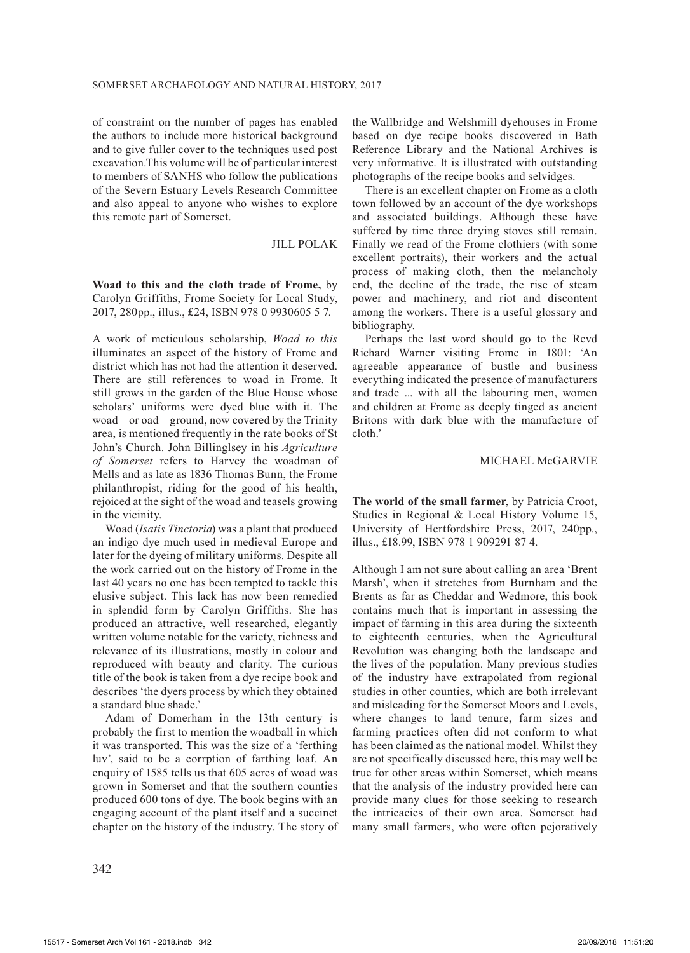of constraint on the number of pages has enabled the authors to include more historical background and to give fuller cover to the techniques used post excavation.This volume will be of particular interest to members of SANHS who follow the publications of the Severn Estuary Levels Research Committee and also appeal to anyone who wishes to explore this remote part of Somerset.

### JILL POLAK

**Woad to this and the cloth trade of Frome,** by Carolyn Griffiths, Frome Society for Local Study, 2017, 280pp., illus., £24, ISBN 978 0 9930605 5 7.

A work of meticulous scholarship, *Woad to this* illuminates an aspect of the history of Frome and district which has not had the attention it deserved. There are still references to woad in Frome. It still grows in the garden of the Blue House whose scholars' uniforms were dyed blue with it. The woad – or oad – ground, now covered by the Trinity area, is mentioned frequently in the rate books of St John's Church. John Billinglsey in his *Agriculture of Somerset* refers to Harvey the woadman of Mells and as late as 1836 Thomas Bunn, the Frome philanthropist, riding for the good of his health, rejoiced at the sight of the woad and teasels growing in the vicinity.

Woad (*Isatis Tinctoria*) was a plant that produced an indigo dye much used in medieval Europe and later for the dyeing of military uniforms. Despite all the work carried out on the history of Frome in the last 40 years no one has been tempted to tackle this elusive subject. This lack has now been remedied in splendid form by Carolyn Griffiths. She has produced an attractive, well researched, elegantly written volume notable for the variety, richness and relevance of its illustrations, mostly in colour and reproduced with beauty and clarity. The curious title of the book is taken from a dye recipe book and describes 'the dyers process by which they obtained a standard blue shade.'

Adam of Domerham in the 13th century is probably the first to mention the woadball in which it was transported. This was the size of a 'ferthing luv', said to be a corrption of farthing loaf. An enquiry of 1585 tells us that 605 acres of woad was grown in Somerset and that the southern counties produced 600 tons of dye. The book begins with an engaging account of the plant itself and a succinct chapter on the history of the industry. The story of the Wallbridge and Welshmill dyehouses in Frome based on dye recipe books discovered in Bath Reference Library and the National Archives is very informative. It is illustrated with outstanding photographs of the recipe books and selvidges.

There is an excellent chapter on Frome as a cloth town followed by an account of the dye workshops and associated buildings. Although these have suffered by time three drying stoves still remain. Finally we read of the Frome clothiers (with some excellent portraits), their workers and the actual process of making cloth, then the melancholy end, the decline of the trade, the rise of steam power and machinery, and riot and discontent among the workers. There is a useful glossary and bibliography.

Perhaps the last word should go to the Revd Richard Warner visiting Frome in 1801: 'An agreeable appearance of bustle and business everything indicated the presence of manufacturers and trade ... with all the labouring men, women and children at Frome as deeply tinged as ancient Britons with dark blue with the manufacture of cloth.'

### MICHAEL McGARVIE

**The world of the small farmer**, by Patricia Croot, Studies in Regional & Local History Volume 15, University of Hertfordshire Press, 2017, 240pp., illus., £18.99, ISBN 978 1 909291 87 4.

Although I am not sure about calling an area 'Brent Marsh', when it stretches from Burnham and the Brents as far as Cheddar and Wedmore, this book contains much that is important in assessing the impact of farming in this area during the sixteenth to eighteenth centuries, when the Agricultural Revolution was changing both the landscape and the lives of the population. Many previous studies of the industry have extrapolated from regional studies in other counties, which are both irrelevant and misleading for the Somerset Moors and Levels, where changes to land tenure, farm sizes and farming practices often did not conform to what has been claimed as the national model. Whilst they are not specifically discussed here, this may well be true for other areas within Somerset, which means that the analysis of the industry provided here can provide many clues for those seeking to research the intricacies of their own area. Somerset had many small farmers, who were often pejoratively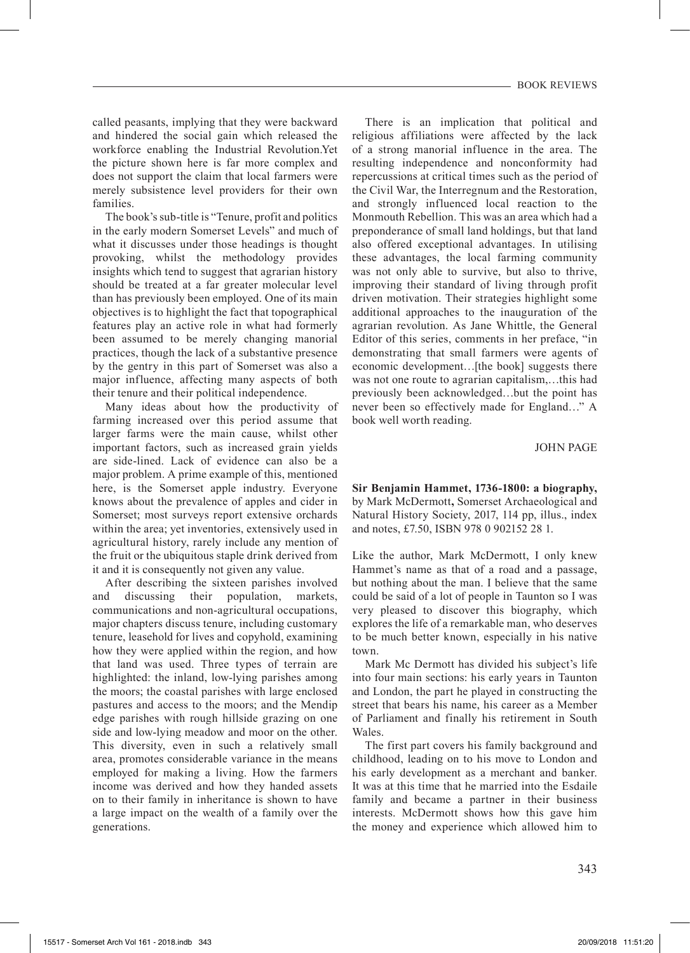called peasants, implying that they were backward and hindered the social gain which released the workforce enabling the Industrial Revolution.Yet the picture shown here is far more complex and does not support the claim that local farmers were merely subsistence level providers for their own families.

The book's sub-title is "Tenure, profit and politics in the early modern Somerset Levels" and much of what it discusses under those headings is thought provoking, whilst the methodology provides insights which tend to suggest that agrarian history should be treated at a far greater molecular level than has previously been employed. One of its main objectives is to highlight the fact that topographical features play an active role in what had formerly been assumed to be merely changing manorial practices, though the lack of a substantive presence by the gentry in this part of Somerset was also a major influence, affecting many aspects of both their tenure and their political independence.

Many ideas about how the productivity of farming increased over this period assume that larger farms were the main cause, whilst other important factors, such as increased grain yields are side-lined. Lack of evidence can also be a major problem. A prime example of this, mentioned here, is the Somerset apple industry. Everyone knows about the prevalence of apples and cider in Somerset; most surveys report extensive orchards within the area; yet inventories, extensively used in agricultural history, rarely include any mention of the fruit or the ubiquitous staple drink derived from it and it is consequently not given any value.

After describing the sixteen parishes involved and discussing their population, markets, communications and non-agricultural occupations, major chapters discuss tenure, including customary tenure, leasehold for lives and copyhold, examining how they were applied within the region, and how that land was used. Three types of terrain are highlighted: the inland, low-lying parishes among the moors; the coastal parishes with large enclosed pastures and access to the moors; and the Mendip edge parishes with rough hillside grazing on one side and low-lying meadow and moor on the other. This diversity, even in such a relatively small area, promotes considerable variance in the means employed for making a living. How the farmers income was derived and how they handed assets on to their family in inheritance is shown to have a large impact on the wealth of a family over the generations.

There is an implication that political and religious affiliations were affected by the lack of a strong manorial influence in the area. The resulting independence and nonconformity had repercussions at critical times such as the period of the Civil War, the Interregnum and the Restoration, and strongly influenced local reaction to the Monmouth Rebellion. This was an area which had a preponderance of small land holdings, but that land also offered exceptional advantages. In utilising these advantages, the local farming community was not only able to survive, but also to thrive, improving their standard of living through profit driven motivation. Their strategies highlight some additional approaches to the inauguration of the agrarian revolution. As Jane Whittle, the General Editor of this series, comments in her preface, "in demonstrating that small farmers were agents of economic development…[the book] suggests there was not one route to agrarian capitalism,…this had previously been acknowledged…but the point has never been so effectively made for England…" A book well worth reading.

### JOHN PAGE

**Sir Benjamin Hammet, 1736-1800: a biography,**  by Mark McDermott**,** Somerset Archaeological and Natural History Society, 2017, 114 pp, illus., index and notes, £7.50, ISBN 978 0 902152 28 1.

Like the author, Mark McDermott, I only knew Hammet's name as that of a road and a passage, but nothing about the man. I believe that the same could be said of a lot of people in Taunton so I was very pleased to discover this biography, which explores the life of a remarkable man, who deserves to be much better known, especially in his native town.

Mark Mc Dermott has divided his subject's life into four main sections: his early years in Taunton and London, the part he played in constructing the street that bears his name, his career as a Member of Parliament and finally his retirement in South Wales.

The first part covers his family background and childhood, leading on to his move to London and his early development as a merchant and banker. It was at this time that he married into the Esdaile family and became a partner in their business interests. McDermott shows how this gave him the money and experience which allowed him to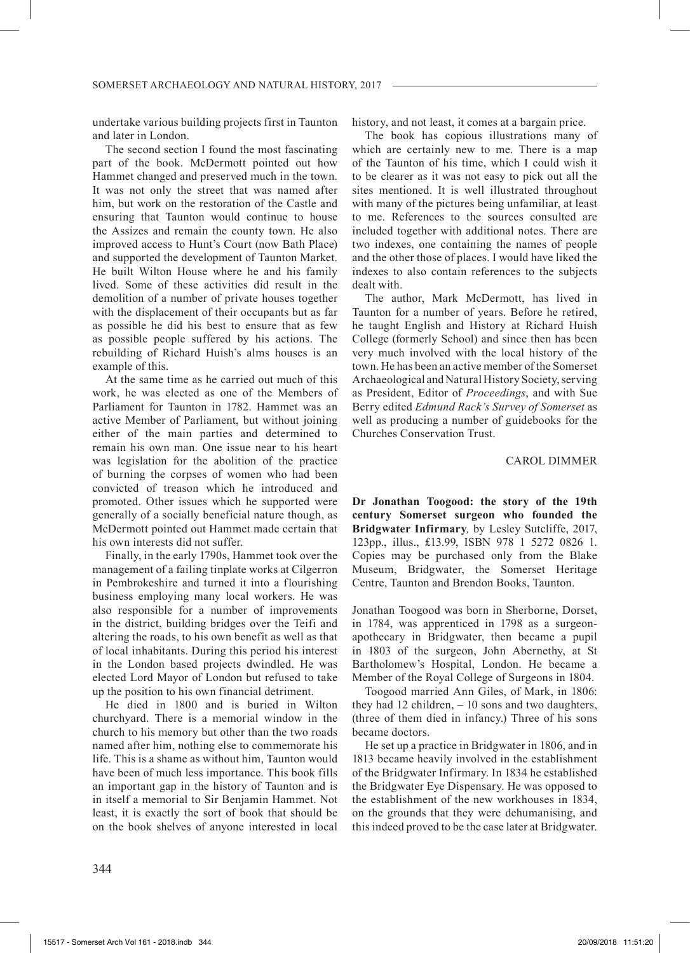undertake various building projects first in Taunton and later in London.

The second section I found the most fascinating part of the book. McDermott pointed out how Hammet changed and preserved much in the town. It was not only the street that was named after him, but work on the restoration of the Castle and ensuring that Taunton would continue to house the Assizes and remain the county town. He also improved access to Hunt's Court (now Bath Place) and supported the development of Taunton Market. He built Wilton House where he and his family lived. Some of these activities did result in the demolition of a number of private houses together with the displacement of their occupants but as far as possible he did his best to ensure that as few as possible people suffered by his actions. The rebuilding of Richard Huish's alms houses is an example of this.

At the same time as he carried out much of this work, he was elected as one of the Members of Parliament for Taunton in 1782. Hammet was an active Member of Parliament, but without joining either of the main parties and determined to remain his own man. One issue near to his heart was legislation for the abolition of the practice of burning the corpses of women who had been convicted of treason which he introduced and promoted. Other issues which he supported were generally of a socially beneficial nature though, as McDermott pointed out Hammet made certain that his own interests did not suffer.

Finally, in the early 1790s, Hammet took over the management of a failing tinplate works at Cilgerron in Pembrokeshire and turned it into a flourishing business employing many local workers. He was also responsible for a number of improvements in the district, building bridges over the Teifi and altering the roads, to his own benefit as well as that of local inhabitants. During this period his interest in the London based projects dwindled. He was elected Lord Mayor of London but refused to take up the position to his own financial detriment.

He died in 1800 and is buried in Wilton churchyard. There is a memorial window in the church to his memory but other than the two roads named after him, nothing else to commemorate his life. This is a shame as without him, Taunton would have been of much less importance. This book fills an important gap in the history of Taunton and is in itself a memorial to Sir Benjamin Hammet. Not least, it is exactly the sort of book that should be on the book shelves of anyone interested in local

history, and not least, it comes at a bargain price.

The book has copious illustrations many of which are certainly new to me. There is a map of the Taunton of his time, which I could wish it to be clearer as it was not easy to pick out all the sites mentioned. It is well illustrated throughout with many of the pictures being unfamiliar, at least to me. References to the sources consulted are included together with additional notes. There are two indexes, one containing the names of people and the other those of places. I would have liked the indexes to also contain references to the subjects dealt with.

The author, Mark McDermott, has lived in Taunton for a number of years. Before he retired, he taught English and History at Richard Huish College (formerly School) and since then has been very much involved with the local history of the town. He has been an active member of the Somerset Archaeological and Natural History Society, serving as President, Editor of *Proceedings*, and with Sue Berry edited *Edmund Rack's Survey of Somerset* as well as producing a number of guidebooks for the Churches Conservation Trust.

### CAROL DIMMER

**Dr Jonathan Toogood: the story of the 19th century Somerset surgeon who founded the Bridgwater Infirmary***,* by Lesley Sutcliffe, 2017, 123pp., illus., £13.99, ISBN 978 1 5272 0826 1. Copies may be purchased only from the Blake Museum, Bridgwater, the Somerset Heritage Centre, Taunton and Brendon Books, Taunton.

Jonathan Toogood was born in Sherborne, Dorset, in 1784, was apprenticed in 1798 as a surgeonapothecary in Bridgwater, then became a pupil in 1803 of the surgeon, John Abernethy, at St Bartholomew's Hospital, London. He became a Member of the Royal College of Surgeons in 1804.

Toogood married Ann Giles, of Mark, in 1806: they had 12 children,  $-10$  sons and two daughters, (three of them died in infancy.) Three of his sons became doctors.

He set up a practice in Bridgwater in 1806, and in 1813 became heavily involved in the establishment of the Bridgwater Infirmary. In 1834 he established the Bridgwater Eye Dispensary. He was opposed to the establishment of the new workhouses in 1834, on the grounds that they were dehumanising, and this indeed proved to be the case later at Bridgwater.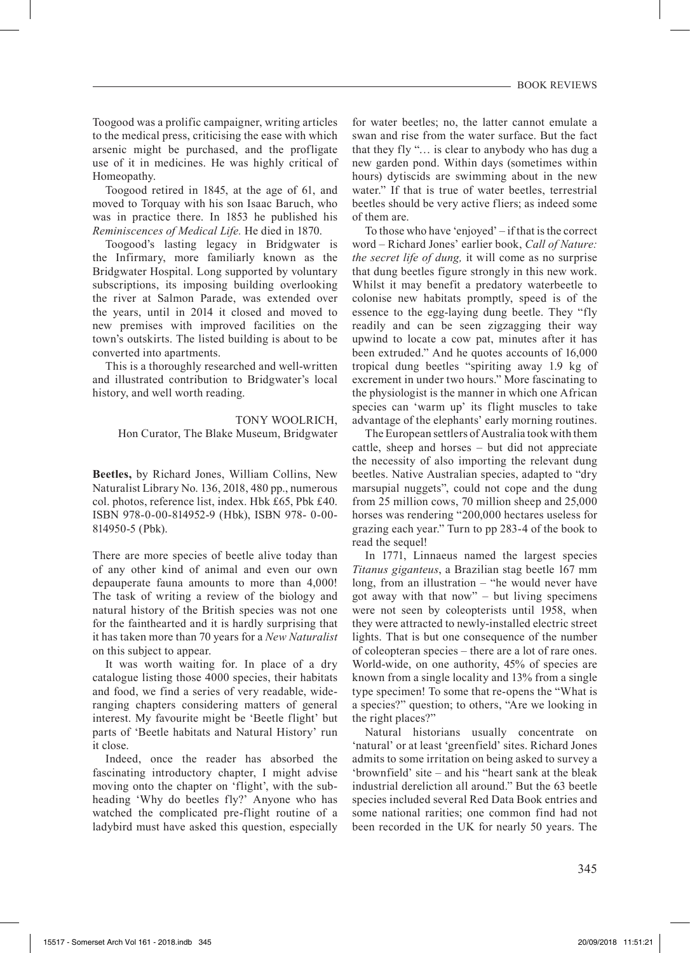Toogood was a prolific campaigner, writing articles to the medical press, criticising the ease with which arsenic might be purchased, and the profligate use of it in medicines. He was highly critical of Homeopathy.

Toogood retired in 1845, at the age of 61, and moved to Torquay with his son Isaac Baruch, who was in practice there. In 1853 he published his *Reminiscences of Medical Life.* He died in 1870.

Toogood's lasting legacy in Bridgwater is the Infirmary, more familiarly known as the Bridgwater Hospital. Long supported by voluntary subscriptions, its imposing building overlooking the river at Salmon Parade, was extended over the years, until in 2014 it closed and moved to new premises with improved facilities on the town's outskirts. The listed building is about to be converted into apartments.

This is a thoroughly researched and well-written and illustrated contribution to Bridgwater's local history, and well worth reading.

> TONY WOOLRICH, Hon Curator, The Blake Museum, Bridgwater

**Beetles,** by Richard Jones, William Collins, New Naturalist Library No. 136, 2018, 480 pp., numerous col. photos, reference list, index. Hbk £65, Pbk £40. ISBN 978-0-00-814952-9 (Hbk), ISBN 978- 0-00- 814950-5 (Pbk).

There are more species of beetle alive today than of any other kind of animal and even our own depauperate fauna amounts to more than 4,000! The task of writing a review of the biology and natural history of the British species was not one for the fainthearted and it is hardly surprising that it has taken more than 70 years for a *New Naturalist* on this subject to appear.

It was worth waiting for. In place of a dry catalogue listing those 4000 species, their habitats and food, we find a series of very readable, wideranging chapters considering matters of general interest. My favourite might be 'Beetle flight' but parts of 'Beetle habitats and Natural History' run it close.

Indeed, once the reader has absorbed the fascinating introductory chapter, I might advise moving onto the chapter on 'flight', with the subheading 'Why do beetles fly?' Anyone who has watched the complicated pre-flight routine of a ladybird must have asked this question, especially

for water beetles; no, the latter cannot emulate a swan and rise from the water surface. But the fact that they fly "… is clear to anybody who has dug a new garden pond. Within days (sometimes within hours) dytiscids are swimming about in the new water." If that is true of water beetles, terrestrial beetles should be very active fliers; as indeed some of them are.

To those who have 'enjoyed' – if that is the correct word – Richard Jones' earlier book, *Call of Nature: the secret life of dung,* it will come as no surprise that dung beetles figure strongly in this new work. Whilst it may benefit a predatory waterbeetle to colonise new habitats promptly, speed is of the essence to the egg-laying dung beetle. They "fly readily and can be seen zigzagging their way upwind to locate a cow pat, minutes after it has been extruded." And he quotes accounts of 16,000 tropical dung beetles "spiriting away 1.9 kg of excrement in under two hours." More fascinating to the physiologist is the manner in which one African species can 'warm up' its flight muscles to take advantage of the elephants' early morning routines.

The European settlers of Australia took with them cattle, sheep and horses – but did not appreciate the necessity of also importing the relevant dung beetles. Native Australian species, adapted to "dry marsupial nuggets", could not cope and the dung from 25 million cows, 70 million sheep and 25,000 horses was rendering "200,000 hectares useless for grazing each year." Turn to pp 283-4 of the book to read the sequel!

In 1771, Linnaeus named the largest species *Titanus giganteus*, a Brazilian stag beetle 167 mm long, from an illustration – "he would never have got away with that now"  $-$  but living specimens were not seen by coleopterists until 1958, when they were attracted to newly-installed electric street lights. That is but one consequence of the number of coleopteran species – there are a lot of rare ones. World-wide, on one authority, 45% of species are known from a single locality and 13% from a single type specimen! To some that re-opens the "What is a species?" question; to others, "Are we looking in the right places?"

Natural historians usually concentrate on 'natural' or at least 'greenfield' sites. Richard Jones admits to some irritation on being asked to survey a 'brownfield' site – and his "heart sank at the bleak industrial dereliction all around." But the 63 beetle species included several Red Data Book entries and some national rarities; one common find had not been recorded in the UK for nearly 50 years. The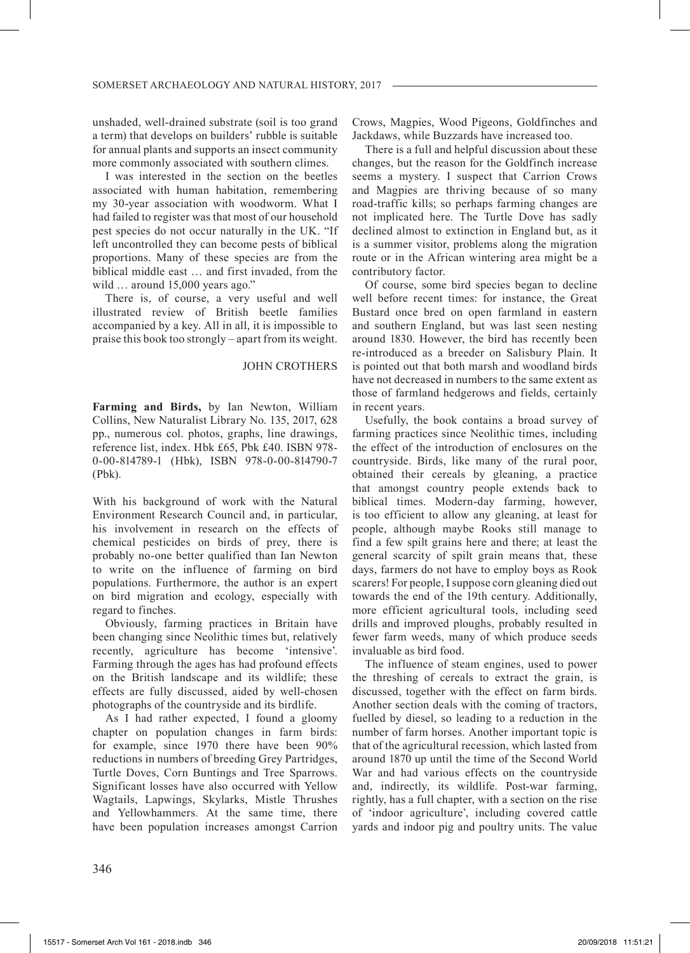unshaded, well-drained substrate (soil is too grand a term) that develops on builders' rubble is suitable for annual plants and supports an insect community more commonly associated with southern climes.

I was interested in the section on the beetles associated with human habitation, remembering my 30-year association with woodworm. What I had failed to register was that most of our household pest species do not occur naturally in the UK. "If left uncontrolled they can become pests of biblical proportions. Many of these species are from the biblical middle east … and first invaded, from the wild ... around 15,000 years ago."

There is, of course, a very useful and well illustrated review of British beetle families accompanied by a key. All in all, it is impossible to praise this book too strongly – apart from its weight.

# JOHN CROTHERS

**Farming and Birds,** by Ian Newton, William Collins, New Naturalist Library No. 135, 2017, 628 pp., numerous col. photos, graphs, line drawings, reference list, index. Hbk £65, Pbk £40. ISBN 978- 0-00-814789-1 (Hbk), ISBN 978-0-00-814790-7 (Pbk).

With his background of work with the Natural Environment Research Council and, in particular, his involvement in research on the effects of chemical pesticides on birds of prey, there is probably no-one better qualified than Ian Newton to write on the influence of farming on bird populations. Furthermore, the author is an expert on bird migration and ecology, especially with regard to finches.

Obviously, farming practices in Britain have been changing since Neolithic times but, relatively recently, agriculture has become 'intensive'. Farming through the ages has had profound effects on the British landscape and its wildlife; these effects are fully discussed, aided by well-chosen photographs of the countryside and its birdlife.

As I had rather expected, I found a gloomy chapter on population changes in farm birds: for example, since 1970 there have been 90% reductions in numbers of breeding Grey Partridges, Turtle Doves, Corn Buntings and Tree Sparrows. Significant losses have also occurred with Yellow Wagtails, Lapwings, Skylarks, Mistle Thrushes and Yellowhammers. At the same time, there have been population increases amongst Carrion

Crows, Magpies, Wood Pigeons, Goldfinches and Jackdaws, while Buzzards have increased too.

There is a full and helpful discussion about these changes, but the reason for the Goldfinch increase seems a mystery. I suspect that Carrion Crows and Magpies are thriving because of so many road-traffic kills; so perhaps farming changes are not implicated here. The Turtle Dove has sadly declined almost to extinction in England but, as it is a summer visitor, problems along the migration route or in the African wintering area might be a contributory factor.

Of course, some bird species began to decline well before recent times: for instance, the Great Bustard once bred on open farmland in eastern and southern England, but was last seen nesting around 1830. However, the bird has recently been re-introduced as a breeder on Salisbury Plain. It is pointed out that both marsh and woodland birds have not decreased in numbers to the same extent as those of farmland hedgerows and fields, certainly in recent years.

Usefully, the book contains a broad survey of farming practices since Neolithic times, including the effect of the introduction of enclosures on the countryside. Birds, like many of the rural poor, obtained their cereals by gleaning, a practice that amongst country people extends back to biblical times. Modern-day farming, however, is too efficient to allow any gleaning, at least for people, although maybe Rooks still manage to find a few spilt grains here and there; at least the general scarcity of spilt grain means that, these days, farmers do not have to employ boys as Rook scarers! For people, I suppose corn gleaning died out towards the end of the 19th century. Additionally, more efficient agricultural tools, including seed drills and improved ploughs, probably resulted in fewer farm weeds, many of which produce seeds invaluable as bird food.

The influence of steam engines, used to power the threshing of cereals to extract the grain, is discussed, together with the effect on farm birds. Another section deals with the coming of tractors, fuelled by diesel, so leading to a reduction in the number of farm horses. Another important topic is that of the agricultural recession, which lasted from around 1870 up until the time of the Second World War and had various effects on the countryside and, indirectly, its wildlife. Post-war farming, rightly, has a full chapter, with a section on the rise of 'indoor agriculture', including covered cattle yards and indoor pig and poultry units. The value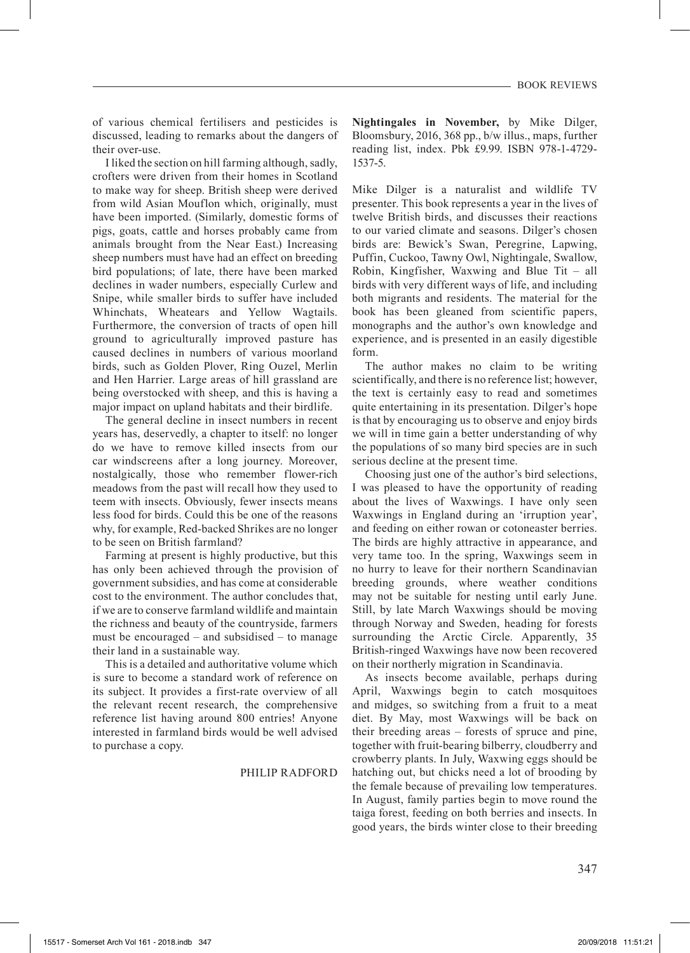of various chemical fertilisers and pesticides is discussed, leading to remarks about the dangers of their over-use.

I liked the section on hill farming although, sadly, crofters were driven from their homes in Scotland to make way for sheep. British sheep were derived from wild Asian Mouflon which, originally, must have been imported. (Similarly, domestic forms of pigs, goats, cattle and horses probably came from animals brought from the Near East.) Increasing sheep numbers must have had an effect on breeding bird populations; of late, there have been marked declines in wader numbers, especially Curlew and Snipe, while smaller birds to suffer have included Whinchats, Wheatears and Yellow Wagtails. Furthermore, the conversion of tracts of open hill ground to agriculturally improved pasture has caused declines in numbers of various moorland birds, such as Golden Plover, Ring Ouzel, Merlin and Hen Harrier. Large areas of hill grassland are being overstocked with sheep, and this is having a major impact on upland habitats and their birdlife.

The general decline in insect numbers in recent years has, deservedly, a chapter to itself: no longer do we have to remove killed insects from our car windscreens after a long journey. Moreover, nostalgically, those who remember flower-rich meadows from the past will recall how they used to teem with insects. Obviously, fewer insects means less food for birds. Could this be one of the reasons why, for example, Red-backed Shrikes are no longer to be seen on British farmland?

Farming at present is highly productive, but this has only been achieved through the provision of government subsidies, and has come at considerable cost to the environment. The author concludes that, if we are to conserve farmland wildlife and maintain the richness and beauty of the countryside, farmers must be encouraged – and subsidised – to manage their land in a sustainable way.

This is a detailed and authoritative volume which is sure to become a standard work of reference on its subject. It provides a first-rate overview of all the relevant recent research, the comprehensive reference list having around 800 entries! Anyone interested in farmland birds would be well advised to purchase a copy.

# PHILIP RADFORD

**Nightingales in November,** by Mike Dilger, Bloomsbury, 2016, 368 pp., b/w illus., maps, further reading list, index. Pbk £9.99. ISBN 978-1-4729- 1537-5.

Mike Dilger is a naturalist and wildlife TV presenter. This book represents a year in the lives of twelve British birds, and discusses their reactions to our varied climate and seasons. Dilger's chosen birds are: Bewick's Swan, Peregrine, Lapwing, Puffin, Cuckoo, Tawny Owl, Nightingale, Swallow, Robin, Kingfisher, Waxwing and Blue Tit – all birds with very different ways of life, and including both migrants and residents. The material for the book has been gleaned from scientific papers, monographs and the author's own knowledge and experience, and is presented in an easily digestible form.

The author makes no claim to be writing scientifically, and there is no reference list; however, the text is certainly easy to read and sometimes quite entertaining in its presentation. Dilger's hope is that by encouraging us to observe and enjoy birds we will in time gain a better understanding of why the populations of so many bird species are in such serious decline at the present time.

Choosing just one of the author's bird selections, I was pleased to have the opportunity of reading about the lives of Waxwings. I have only seen Waxwings in England during an 'irruption year', and feeding on either rowan or cotoneaster berries. The birds are highly attractive in appearance, and very tame too. In the spring, Waxwings seem in no hurry to leave for their northern Scandinavian breeding grounds, where weather conditions may not be suitable for nesting until early June. Still, by late March Waxwings should be moving through Norway and Sweden, heading for forests surrounding the Arctic Circle. Apparently, 35 British-ringed Waxwings have now been recovered on their northerly migration in Scandinavia.

As insects become available, perhaps during April, Waxwings begin to catch mosquitoes and midges, so switching from a fruit to a meat diet. By May, most Waxwings will be back on their breeding areas – forests of spruce and pine, together with fruit-bearing bilberry, cloudberry and crowberry plants. In July, Waxwing eggs should be hatching out, but chicks need a lot of brooding by the female because of prevailing low temperatures. In August, family parties begin to move round the taiga forest, feeding on both berries and insects. In good years, the birds winter close to their breeding